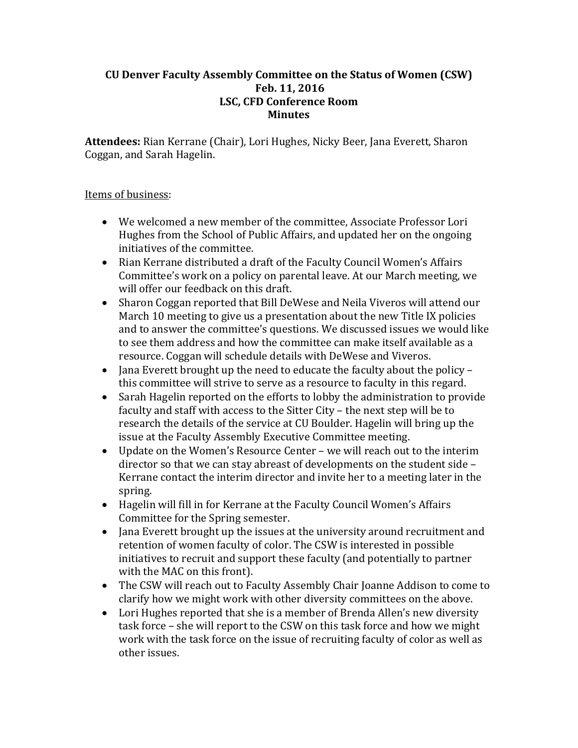#### **CU Denver Faculty Assembly Committee on the Status of Women (CSW) Feb. 11, 2016 LSC, CFD Conference Room Minutes**

Attendees: Rian Kerrane (Chair), Lori Hughes, Nicky Beer, Jana Everett, Sharon Coggan, and Sarah Hagelin.

### Items of business:

- We welcomed a new member of the committee, Associate Professor Lori Hughes from the School of Public Affairs, and updated her on the ongoing initiatives of the committee.
- Rian Kerrane distributed a draft of the Faculty Council Women's Affairs Committee's work on a policy on parental leave. At our March meeting, we will offer our feedback on this draft.
- Sharon Coggan reported that Bill DeWese and Neila Viveros will attend our March 10 meeting to give us a presentation about the new Title IX policies and to answer the committee's questions. We discussed issues we would like to see them address and how the committee can make itself available as a resource. Coggan will schedule details with DeWese and Viveros.
- Jana Everett brought up the need to educate the faculty about the policy this committee will strive to serve as a resource to faculty in this regard.
- Sarah Hagelin reported on the efforts to lobby the administration to provide faculty and staff with access to the Sitter City – the next step will be to research the details of the service at CU Boulder. Hagelin will bring up the issue at the Faculty Assembly Executive Committee meeting.
- Update on the Women's Resource Center we will reach out to the interim director so that we can stay abreast of developments on the student side  $-$ Kerrane contact the interim director and invite her to a meeting later in the spring.
- Hagelin will fill in for Kerrane at the Faculty Council Women's Affairs Committee for the Spring semester.
- Jana Everett brought up the issues at the university around recruitment and retention of women faculty of color. The CSW is interested in possible initiatives to recruit and support these faculty (and potentially to partner with the MAC on this front).
- The CSW will reach out to Faculty Assembly Chair Joanne Addison to come to clarify how we might work with other diversity committees on the above.
- Lori Hughes reported that she is a member of Brenda Allen's new diversity task force – she will report to the CSW on this task force and how we might work with the task force on the issue of recruiting faculty of color as well as other issues.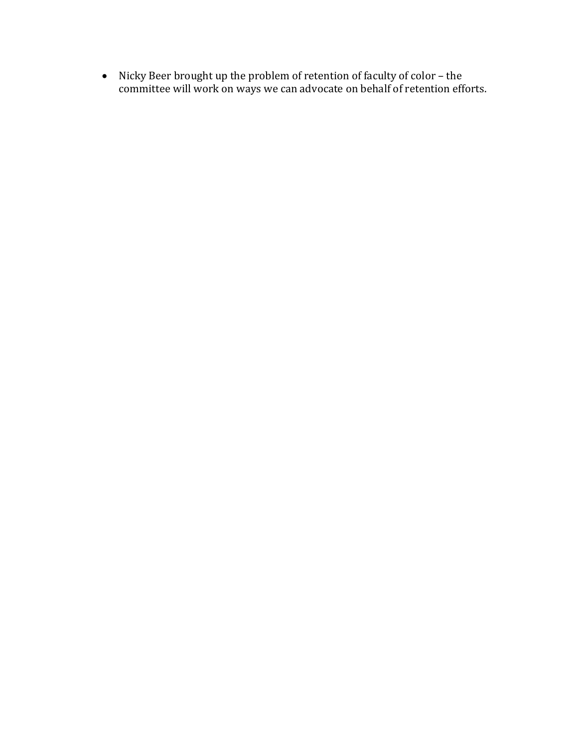• Nicky Beer brought up the problem of retention of faculty of color - the committee will work on ways we can advocate on behalf of retention efforts.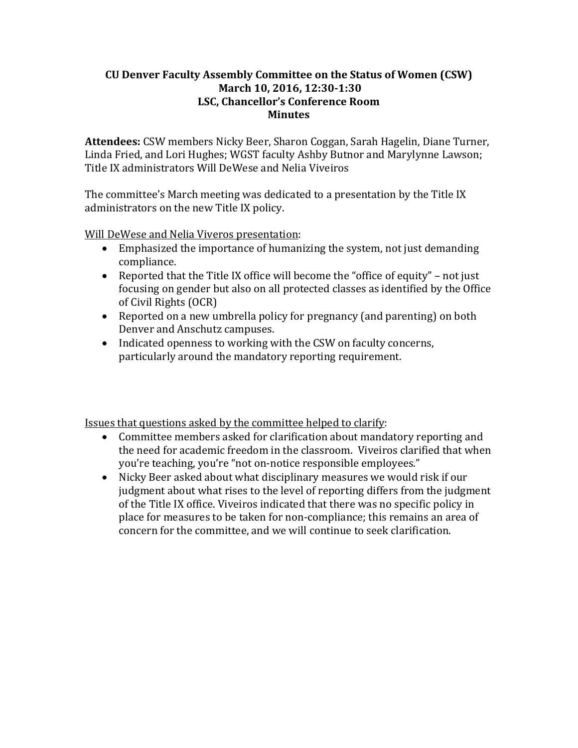#### **CU Denver Faculty Assembly Committee on the Status of Women (CSW) March 10, 2016, 12:30‐1:30 LSC, Chancellor's Conference Room Minutes**

Attendees: CSW members Nicky Beer, Sharon Coggan, Sarah Hagelin, Diane Turner, Linda Fried, and Lori Hughes; WGST faculty Ashby Butnor and Marylynne Lawson; Title IX administrators Will DeWese and Nelia Viveiros

The committee's March meeting was dedicated to a presentation by the Title IX administrators on the new Title IX policy.

Will DeWese and Nelia Viveros presentation:

- Emphasized the importance of humanizing the system, not just demanding compliance.
- Reported that the Title IX office will become the "office of equity" not just focusing on gender but also on all protected classes as identified by the Office of Civil Rights (OCR)
- Reported on a new umbrella policy for pregnancy (and parenting) on both Denver and Anschutz campuses.
- Indicated openness to working with the CSW on faculty concerns, particularly around the mandatory reporting requirement.

Issues that questions asked by the committee helped to clarify:

- Committee members asked for clarification about mandatory reporting and the need for academic freedom in the classroom. Viveiros clarified that when you're teaching, you're "not on-notice responsible employees."
- Nicky Beer asked about what disciplinary measures we would risk if our judgment about what rises to the level of reporting differs from the judgment of the Title IX office. Viveiros indicated that there was no specific policy in place for measures to be taken for non-compliance; this remains an area of concern for the committee, and we will continue to seek clarification.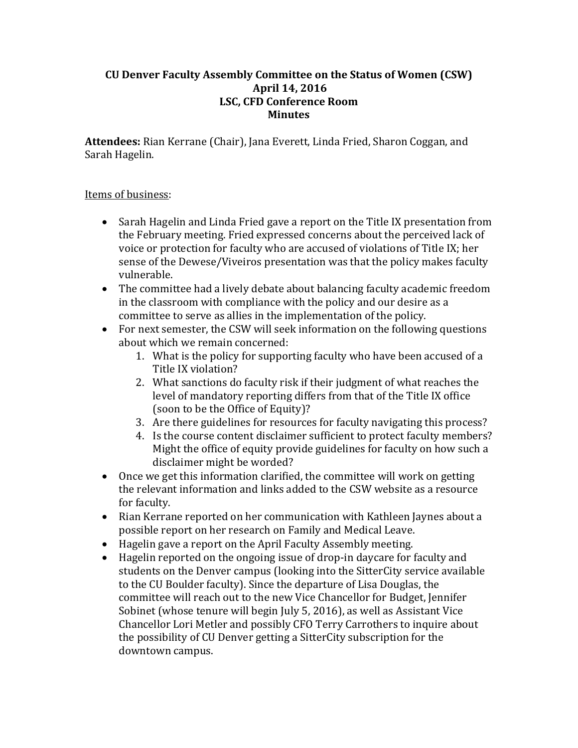#### **CU Denver Faculty Assembly Committee on the Status of Women (CSW) April 14, 2016 LSC, CFD Conference Room Minutes**

Attendees: Rian Kerrane (Chair), Jana Everett, Linda Fried, Sharon Coggan, and Sarah Hagelin.

### Items of business:

- Sarah Hagelin and Linda Fried gave a report on the Title IX presentation from the February meeting. Fried expressed concerns about the perceived lack of voice or protection for faculty who are accused of violations of Title IX; her sense of the Dewese/Viveiros presentation was that the policy makes faculty vulnerable.
- The committee had a lively debate about balancing faculty academic freedom in the classroom with compliance with the policy and our desire as a committee to serve as allies in the implementation of the policy.
- For next semester, the CSW will seek information on the following questions about which we remain concerned:
	- 1. What is the policy for supporting faculty who have been accused of a Title IX violation?
	- 2. What sanctions do faculty risk if their judgment of what reaches the level of mandatory reporting differs from that of the Title IX office (soon to be the Office of Equity)?
	- 3. Are there guidelines for resources for faculty navigating this process?
	- 4. Is the course content disclaimer sufficient to protect faculty members? Might the office of equity provide guidelines for faculty on how such a disclaimer might be worded?
- $\bullet$  Once we get this information clarified, the committee will work on getting the relevant information and links added to the CSW website as a resource for faculty.
- Rian Kerrane reported on her communication with Kathleen Jaynes about a possible report on her research on Family and Medical Leave.
- Hagelin gave a report on the April Faculty Assembly meeting.
- Hagelin reported on the ongoing issue of drop-in daycare for faculty and students on the Denver campus (looking into the SitterCity service available to the CU Boulder faculty). Since the departure of Lisa Douglas, the committee will reach out to the new Vice Chancellor for Budget, Jennifer Sobinet (whose tenure will begin July 5, 2016), as well as Assistant Vice Chancellor Lori Metler and possibly CFO Terry Carrothers to inquire about the possibility of CU Denver getting a SitterCity subscription for the downtown campus.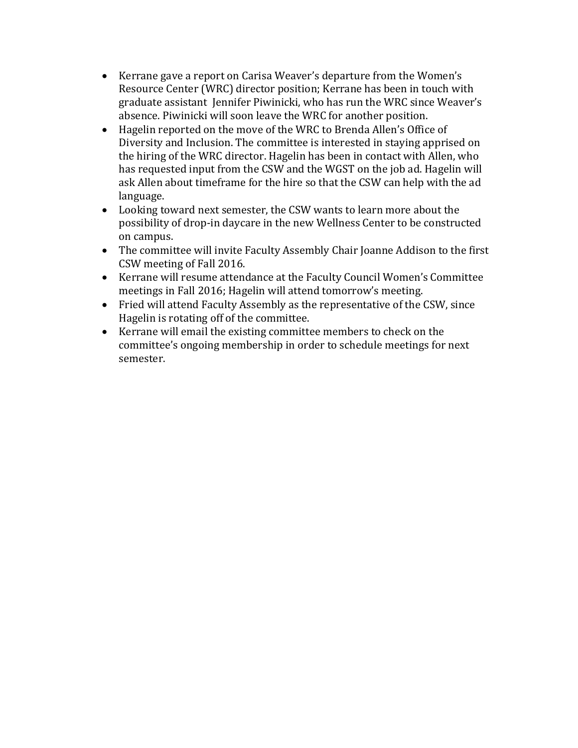- Kerrane gave a report on Carisa Weaver's departure from the Women's Resource Center (WRC) director position; Kerrane has been in touch with graduate assistant Jennifer Piwinicki, who has run the WRC since Weaver's absence. Piwinicki will soon leave the WRC for another position.
- Hagelin reported on the move of the WRC to Brenda Allen's Office of Diversity and Inclusion. The committee is interested in staying apprised on the hiring of the WRC director. Hagelin has been in contact with Allen, who has requested input from the CSW and the WGST on the job ad. Hagelin will ask Allen about timeframe for the hire so that the CSW can help with the ad language.
- Looking toward next semester, the CSW wants to learn more about the possibility of drop-in daycare in the new Wellness Center to be constructed on campus.
- The committee will invite Faculty Assembly Chair Joanne Addison to the first CSW meeting of Fall 2016.
- Kerrane will resume attendance at the Faculty Council Women's Committee meetings in Fall 2016; Hagelin will attend tomorrow's meeting.
- Fried will attend Faculty Assembly as the representative of the CSW, since Hagelin is rotating off of the committee.
- Kerrane will email the existing committee members to check on the committee's ongoing membership in order to schedule meetings for next semester.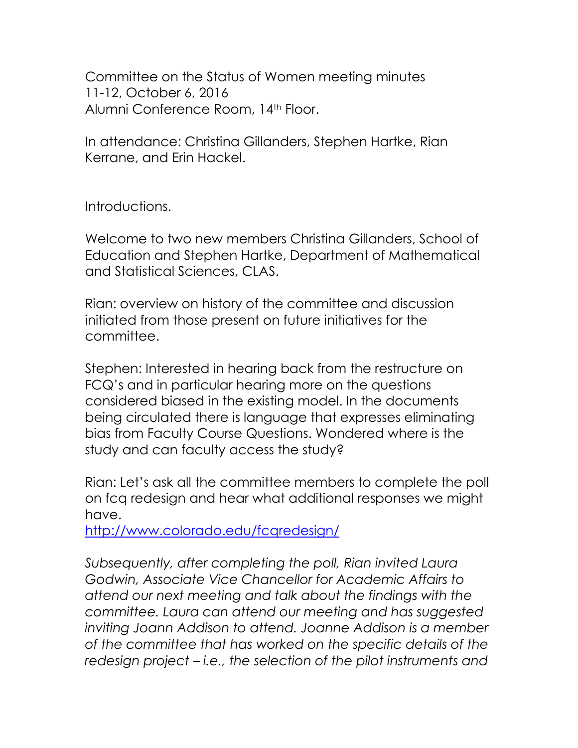Committee on the Status of Women meeting minutes 11-12, October 6, 2016 Alumni Conference Room, 14<sup>th</sup> Floor.

In attendance: Christina Gillanders, Stephen Hartke, Rian Kerrane, and Erin Hackel.

Introductions.

Welcome to two new members Christina Gillanders, School of Education and Stephen Hartke, Department of Mathematical and Statistical Sciences, CLAS.

Rian: overview on history of the committee and discussion initiated from those present on future initiatives for the committee.

Stephen: Interested in hearing back from the restructure on FCQ's and in particular hearing more on the questions considered biased in the existing model. In the documents being circulated there is language that expresses eliminating bias from Faculty Course Questions. Wondered where is the study and can faculty access the study?

Rian: Let's ask all the committee members to complete the poll on fcq redesign and hear what additional responses we might have.

<http://www.colorado.edu/fcqredesign/>

*Subsequently, after completing the poll, Rian invited Laura Godwin, Associate Vice Chancellor for Academic Affairs to attend our next meeting and talk about the findings with the committee. Laura can attend our meeting and has suggested inviting Joann Addison to attend. Joanne Addison is a member of the committee that has worked on the specific details of the redesign project – i.e., the selection of the pilot instruments and*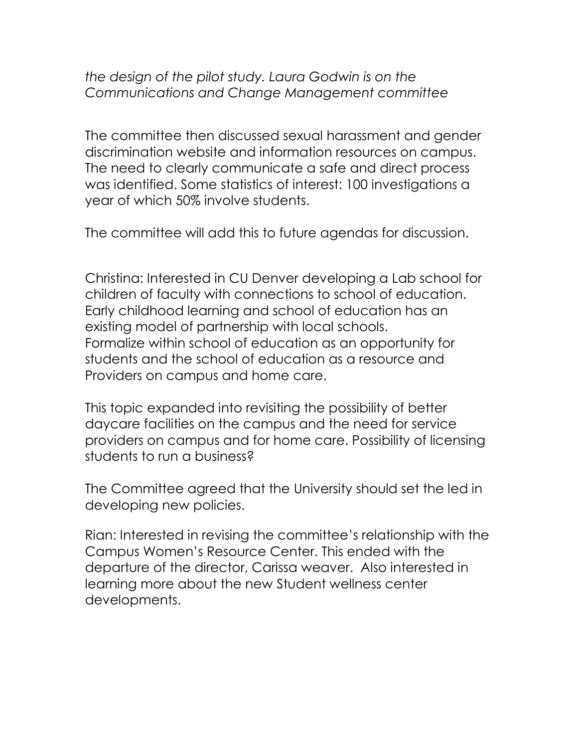### *the design of the pilot study. Laura Godwin is on the Communications and Change Management committee*

The committee then discussed sexual harassment and gender discrimination website and information resources on campus. The need to clearly communicate a safe and direct process was identified. Some statistics of interest: 100 investigations a year of which 50% involve students.

The committee will add this to future agendas for discussion.

Christina: Interested in CU Denver developing a Lab school for children of faculty with connections to school of education. Early childhood learning and school of education has an existing model of partnership with local schools. Formalize within school of education as an opportunity for students and the school of education as a resource and Providers on campus and home care.

This topic expanded into revisiting the possibility of better daycare facilities on the campus and the need for service providers on campus and for home care. Possibility of licensing students to run a business?

The Committee agreed that the University should set the led in developing new policies.

Rian: Interested in revising the committee's relationship with the Campus Women's Resource Center. This ended with the departure of the director, Carissa weaver. Also interested in learning more about the new Student wellness center developments.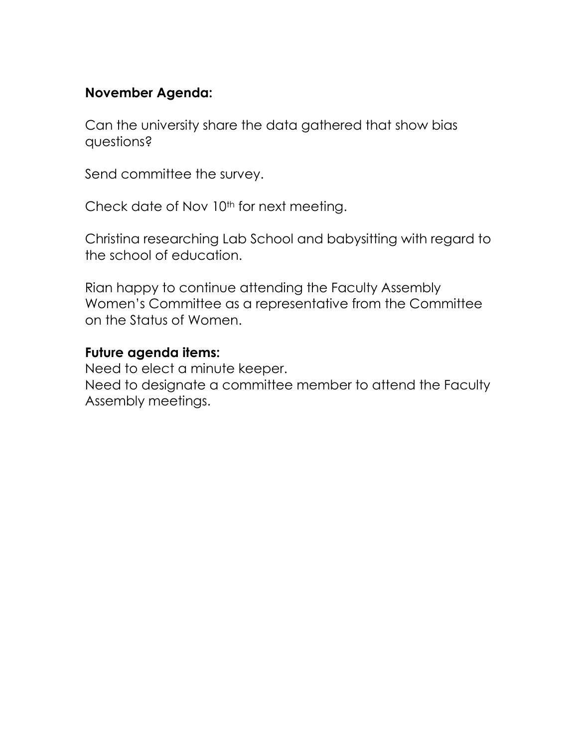## **November Agenda:**

Can the university share the data gathered that show bias questions?

Send committee the survey.

Check date of Nov 10<sup>th</sup> for next meeting.

Christina researching Lab School and babysitting with regard to the school of education.

Rian happy to continue attending the Faculty Assembly Women's Committee as a representative from the Committee on the Status of Women.

### **Future agenda items:**

Need to elect a minute keeper. Need to designate a committee member to attend the Faculty Assembly meetings.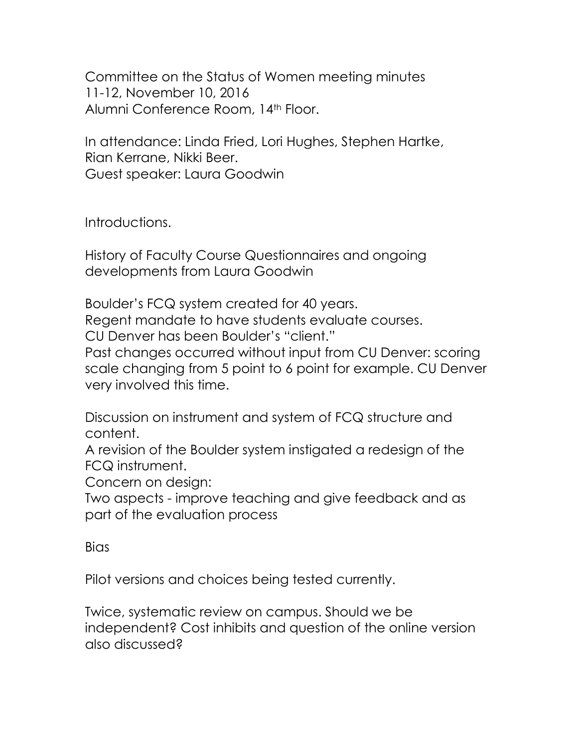Committee on the Status of Women meeting minutes 11-12, November 10, 2016 Alumni Conference Room, 14th Floor.

In attendance: Linda Fried, Lori Hughes, Stephen Hartke, Rian Kerrane, Nikki Beer. Guest speaker: Laura Goodwin

Introductions.

History of Faculty Course Questionnaires and ongoing developments from Laura Goodwin

Boulder's FCQ system created for 40 years. Regent mandate to have students evaluate courses. CU Denver has been Boulder's "client." Past changes occurred without input from CU Denver: scoring scale changing from 5 point to 6 point for example. CU Denver very involved this time.

Discussion on instrument and system of FCQ structure and content.

A revision of the Boulder system instigated a redesign of the FCQ instrument.

Concern on design:

Two aspects - improve teaching and give feedback and as part of the evaluation process

**Bias** 

Pilot versions and choices being tested currently.

Twice, systematic review on campus. Should we be independent? Cost inhibits and question of the online version also discussed?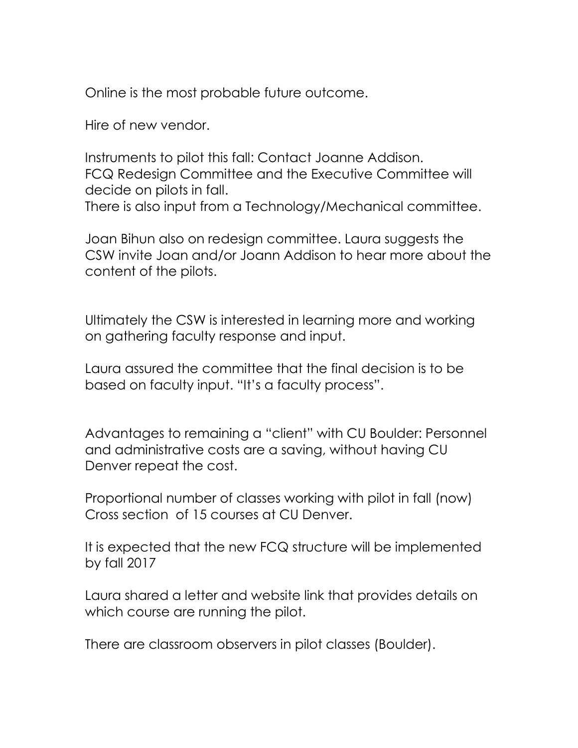Online is the most probable future outcome.

Hire of new vendor.

Instruments to pilot this fall: Contact Joanne Addison. FCQ Redesign Committee and the Executive Committee will decide on pilots in fall. There is also input from a Technology/Mechanical committee.

Joan Bihun also on redesign committee. Laura suggests the CSW invite Joan and/or Joann Addison to hear more about the content of the pilots.

Ultimately the CSW is interested in learning more and working on gathering faculty response and input.

Laura assured the committee that the final decision is to be based on faculty input. "It's a faculty process".

Advantages to remaining a "client" with CU Boulder: Personnel and administrative costs are a saving, without having CU Denver repeat the cost.

Proportional number of classes working with pilot in fall (now) Cross section of 15 courses at CU Denver.

It is expected that the new FCQ structure will be implemented by fall 2017

Laura shared a letter and website link that provides details on which course are running the pilot.

There are classroom observers in pilot classes (Boulder).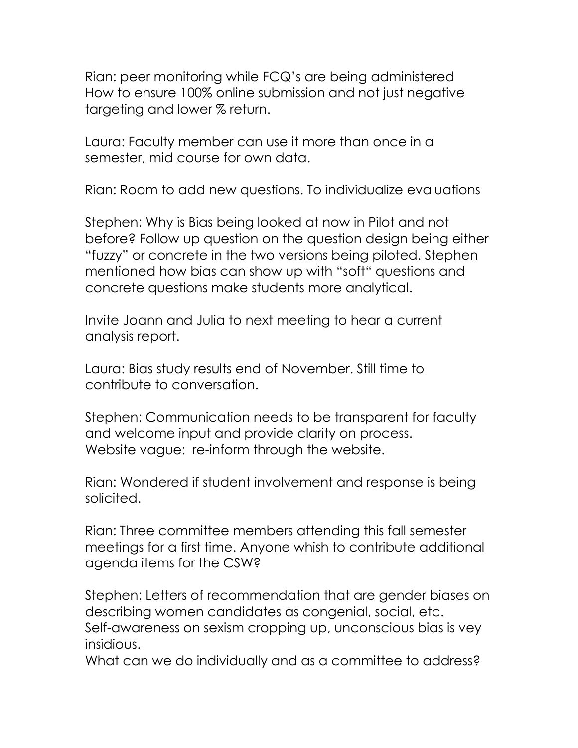Rian: peer monitoring while FCQ's are being administered How to ensure 100% online submission and not just negative targeting and lower % return.

Laura: Faculty member can use it more than once in a semester, mid course for own data.

Rian: Room to add new questions. To individualize evaluations

Stephen: Why is Bias being looked at now in Pilot and not before? Follow up question on the question design being either "fuzzy" or concrete in the two versions being piloted. Stephen mentioned how bias can show up with "soft" questions and concrete questions make students more analytical.

Invite Joann and Julia to next meeting to hear a current analysis report.

Laura: Bias study results end of November. Still time to contribute to conversation.

Stephen: Communication needs to be transparent for faculty and welcome input and provide clarity on process. Website vague: re-inform through the website.

Rian: Wondered if student involvement and response is being solicited.

Rian: Three committee members attending this fall semester meetings for a first time. Anyone whish to contribute additional agenda items for the CSW?

Stephen: Letters of recommendation that are gender biases on describing women candidates as congenial, social, etc. Self-awareness on sexism cropping up, unconscious bias is vey insidious.

What can we do individually and as a committee to address?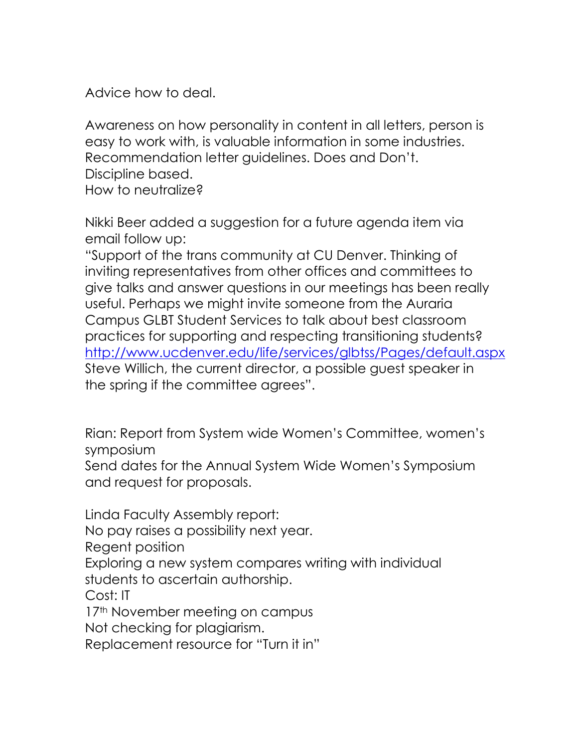Advice how to deal.

Awareness on how personality in content in all letters, person is easy to work with, is valuable information in some industries. Recommendation letter guidelines. Does and Don't. Discipline based. How to neutralize?

Nikki Beer added a suggestion for a future agenda item via email follow up:

"Support of the trans community at CU Denver. Thinking of inviting representatives from other offices and committees to give talks and answer questions in our meetings has been really useful. Perhaps we might invite someone from the Auraria Campus GLBT Student Services to talk about best classroom practices for supporting and respecting transitioning students? <http://www.ucdenver.edu/life/services/glbtss/Pages/default.aspx> Steve Willich, the current director, a possible guest speaker in the spring if the committee agrees".

Rian: Report from System wide Women's Committee, women's symposium

Send dates for the Annual System Wide Women's Symposium and request for proposals.

Linda Faculty Assembly report: No pay raises a possibility next year. Regent position Exploring a new system compares writing with individual students to ascertain authorship. Cost: IT 17<sup>th</sup> November meeting on campus Not checking for plagiarism. Replacement resource for "Turn it in"